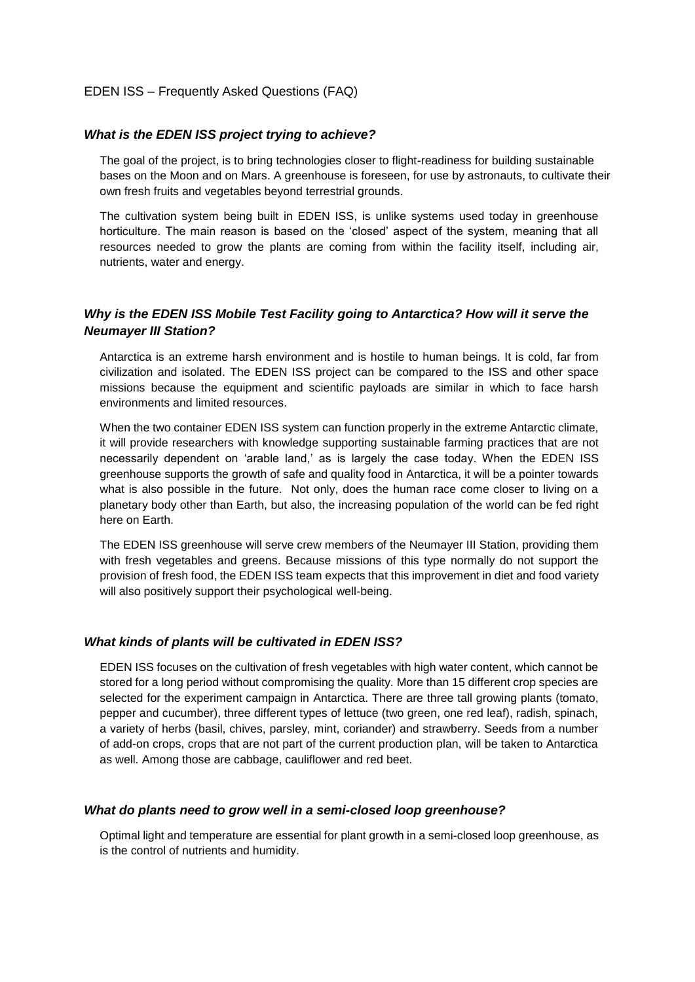### EDEN ISS – Frequently Asked Questions (FAQ)

#### *What is the EDEN ISS project trying to achieve?*

The goal of the project, is to bring technologies closer to flight-readiness for building sustainable bases on the Moon and on Mars. A greenhouse is foreseen, for use by astronauts, to cultivate their own fresh fruits and vegetables beyond terrestrial grounds.

The cultivation system being built in EDEN ISS, is unlike systems used today in greenhouse horticulture. The main reason is based on the 'closed' aspect of the system, meaning that all resources needed to grow the plants are coming from within the facility itself, including air, nutrients, water and energy.

# *Why is the EDEN ISS Mobile Test Facility going to Antarctica? How will it serve the Neumayer III Station?*

Antarctica is an extreme harsh environment and is hostile to human beings. It is cold, far from civilization and isolated. The EDEN ISS project can be compared to the ISS and other space missions because the equipment and scientific payloads are similar in which to face harsh environments and limited resources.

When the two container EDEN ISS system can function properly in the extreme Antarctic climate, it will provide researchers with knowledge supporting sustainable farming practices that are not necessarily dependent on 'arable land,' as is largely the case today. When the EDEN ISS greenhouse supports the growth of safe and quality food in Antarctica, it will be a pointer towards what is also possible in the future. Not only, does the human race come closer to living on a planetary body other than Earth, but also, the increasing population of the world can be fed right here on Earth.

The EDEN ISS greenhouse will serve crew members of the Neumayer III Station, providing them with fresh vegetables and greens. Because missions of this type normally do not support the provision of fresh food, the EDEN ISS team expects that this improvement in diet and food variety will also positively support their psychological well-being.

### *What kinds of plants will be cultivated in EDEN ISS?*

EDEN ISS focuses on the cultivation of fresh vegetables with high water content, which cannot be stored for a long period without compromising the quality. More than 15 different crop species are selected for the experiment campaign in Antarctica. There are three tall growing plants (tomato, pepper and cucumber), three different types of lettuce (two green, one red leaf), radish, spinach, a variety of herbs (basil, chives, parsley, mint, coriander) and strawberry. Seeds from a number of add-on crops, crops that are not part of the current production plan, will be taken to Antarctica as well. Among those are cabbage, cauliflower and red beet.

#### *What do plants need to grow well in a semi-closed loop greenhouse?*

Optimal light and temperature are essential for plant growth in a semi-closed loop greenhouse, as is the control of nutrients and humidity.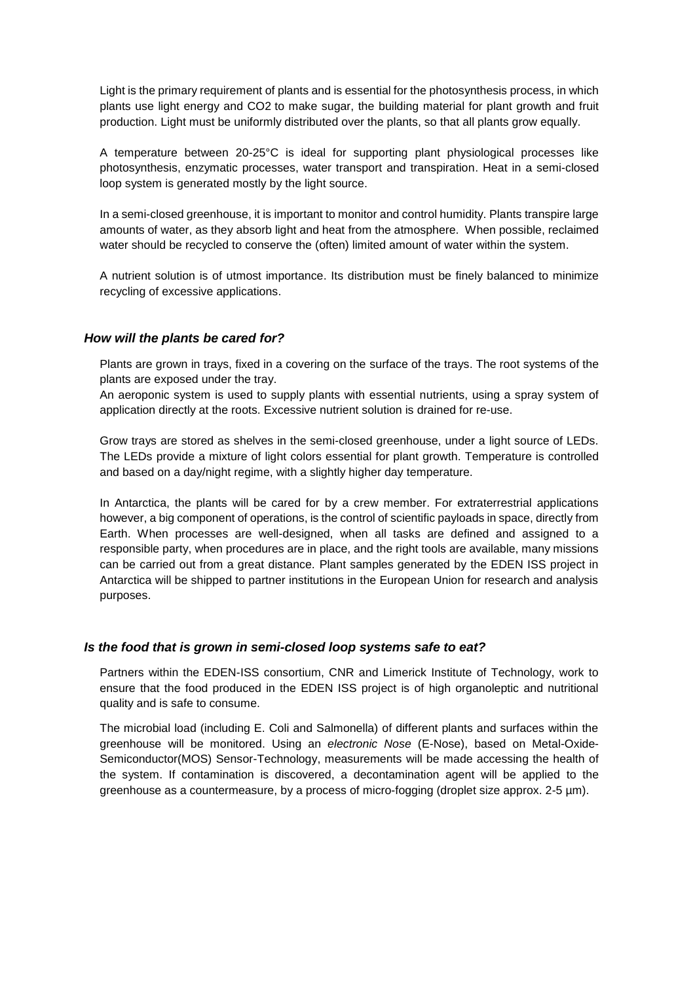Light is the primary requirement of plants and is essential for the photosynthesis process, in which plants use light energy and CO2 to make sugar, the building material for plant growth and fruit production. Light must be uniformly distributed over the plants, so that all plants grow equally.

A temperature between 20-25°C is ideal for supporting plant physiological processes like photosynthesis, enzymatic processes, water transport and transpiration. Heat in a semi-closed loop system is generated mostly by the light source.

In a semi-closed greenhouse, it is important to monitor and control humidity. Plants transpire large amounts of water, as they absorb light and heat from the atmosphere. When possible, reclaimed water should be recycled to conserve the (often) limited amount of water within the system.

A nutrient solution is of utmost importance. Its distribution must be finely balanced to minimize recycling of excessive applications.

### *How will the plants be cared for?*

Plants are grown in trays, fixed in a covering on the surface of the trays. The root systems of the plants are exposed under the tray.

An aeroponic system is used to supply plants with essential nutrients, using a spray system of application directly at the roots. Excessive nutrient solution is drained for re-use.

Grow trays are stored as shelves in the semi-closed greenhouse, under a light source of LEDs. The LEDs provide a mixture of light colors essential for plant growth. Temperature is controlled and based on a day/night regime, with a slightly higher day temperature.

In Antarctica, the plants will be cared for by a crew member. For extraterrestrial applications however, a big component of operations, is the control of scientific payloads in space, directly from Earth. When processes are well-designed, when all tasks are defined and assigned to a responsible party, when procedures are in place, and the right tools are available, many missions can be carried out from a great distance. Plant samples generated by the EDEN ISS project in Antarctica will be shipped to partner institutions in the European Union for research and analysis purposes.

### *Is the food that is grown in semi-closed loop systems safe to eat?*

Partners within the EDEN-ISS consortium, CNR and Limerick Institute of Technology, work to ensure that the food produced in the EDEN ISS project is of high organoleptic and nutritional quality and is safe to consume.

The microbial load (including E. Coli and Salmonella) of different plants and surfaces within the greenhouse will be monitored. Using an *electronic Nose* (E-Nose), based on Metal-Oxide-Semiconductor(MOS) Sensor-Technology, measurements will be made accessing the health of the system. If contamination is discovered, a decontamination agent will be applied to the greenhouse as a countermeasure, by a process of micro-fogging (droplet size approx. 2-5  $\mu$ m).